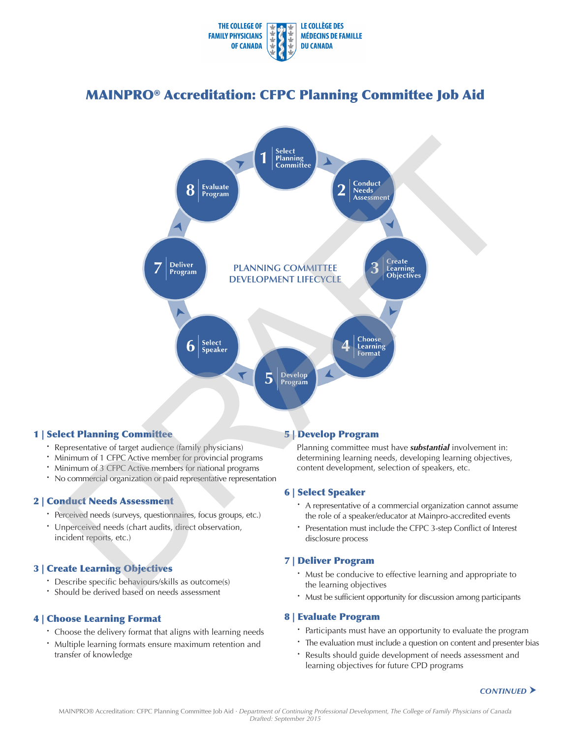

# MAINPRO® Accreditation: CFPC Planning Committee Job Aid



# 1 | Select Planning Committee

- Representative of target audience (family physicians)
- · Minimum of 1 CFPC Active member for provincial programs
- · Minimum of 3 CFPC Active members for national programs
- · No commercial organization or paid representative representation

## 2 | Conduct Needs Assessment

- · Perceived needs (surveys, questionnaires, focus groups, etc.)
- · Unperceived needs (chart audits, direct observation, incident reports, etc.)

# 3 | Create Learning Objectives

- · Describe specific behaviours/skills as outcome(s)
- · Should be derived based on needs assessment

# 4 | Choose Learning Format

- Choose the delivery format that aligns with learning needs
- · Multiple learning formats ensure maximum retention and transfer of knowledge

# 5 | Develop Program

Planning committee must have *substantial* involvement in: determining learning needs, developing learning objectives, content development, selection of speakers, etc.

## 6 | Select Speaker

- · A representative of a commercial organization cannot assume the role of a speaker/educator at Mainpro-accredited events
- · Presentation must include the CFPC 3-step Conflict of Interest disclosure process

# 7 | Deliver Program

- · Must be conducive to effective learning and appropriate to the learning objectives
- · Must be sufficient opportunity for discussion among participants

## 8 | Evaluate Program

- · Participants must have an opportunity to evaluate the program
- · The evaluation must include a question on content and presenter bias
- · Results should guide development of needs assessment and learning objectives for future CPD programs